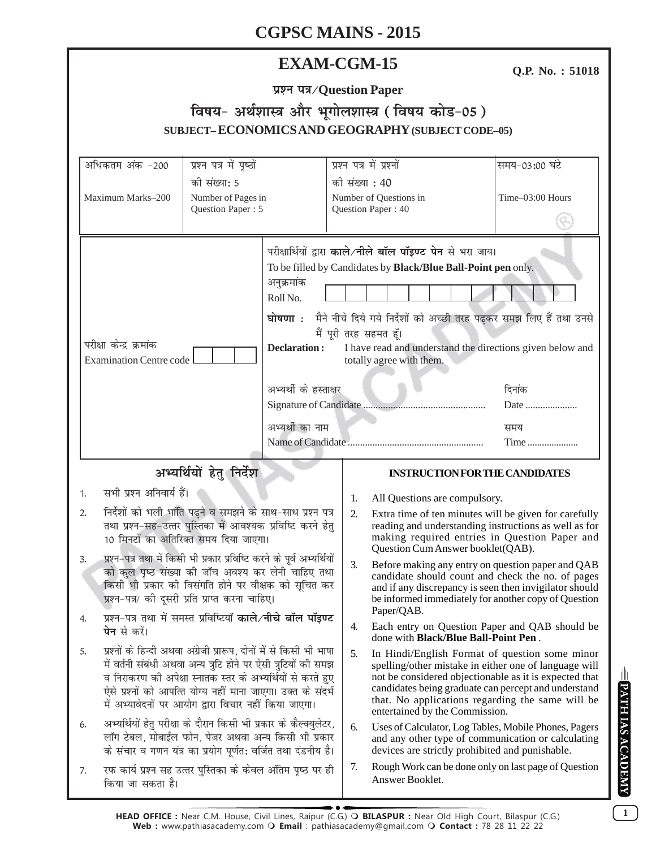# **EXAM-CGM-15**

**Q.P. No. : 51018**

| प्रश्न पत्र/Question Paper |  |  |  |  |  |
|----------------------------|--|--|--|--|--|
|                            |  |  |  |  |  |

# **faषय- अर्थशास्त्र और भूगोलशास्त्र ( विषय कोड-05) SUBJECT– ECONOMICS AND GEOGRAPHY (SUBJECT CODE–05)**

| अधिकतम अंक -200                                                                                                                                                                                                                                                                                                                                                                                                                                                                                                                                                                                                                                                                                                                                                                                                                                                      | प्रश्न पत्र में पृष्ठों                                                                                                                                                                  | प्रश्न पत्र में प्रश्नों                                                                                                                                                          | समय-03:00 घंटे                                                                                                                                                                                                                                                                |
|----------------------------------------------------------------------------------------------------------------------------------------------------------------------------------------------------------------------------------------------------------------------------------------------------------------------------------------------------------------------------------------------------------------------------------------------------------------------------------------------------------------------------------------------------------------------------------------------------------------------------------------------------------------------------------------------------------------------------------------------------------------------------------------------------------------------------------------------------------------------|------------------------------------------------------------------------------------------------------------------------------------------------------------------------------------------|-----------------------------------------------------------------------------------------------------------------------------------------------------------------------------------|-------------------------------------------------------------------------------------------------------------------------------------------------------------------------------------------------------------------------------------------------------------------------------|
| की संख्या: 5<br>Maximum Marks-200<br>Number of Pages in<br>Question Paper: 5                                                                                                                                                                                                                                                                                                                                                                                                                                                                                                                                                                                                                                                                                                                                                                                         |                                                                                                                                                                                          | की संख्या : 40<br>Number of Questions in<br>Question Paper: 40                                                                                                                    | Time-03:00 Hours                                                                                                                                                                                                                                                              |
| परीक्षा केन्द्र क्रमांक<br><b>Examination Centre code</b>                                                                                                                                                                                                                                                                                                                                                                                                                                                                                                                                                                                                                                                                                                                                                                                                            | अनुक्रमांक<br>Roll No.<br><b>Declaration:</b><br>अभ्यर्थी के हस्ताक्षर<br>अभ्यर्थी का नाम                                                                                                | परीक्षार्थियों द्वारा काले/नीले बॉल पॉइण्ट पेन से भरा जाय।<br>To be filled by Candidates by Black/Blue Ball-Point pen only.<br>मैं पूरी तरह सहमत हूँ।<br>totally agree with them. | घोषणा : मैने नीचे दिये गये निर्देशों को अच्छी तरह पढ़कर समझ लिए हैं तथा उनसे<br>I have read and understand the directions given below and<br>दिनांक<br>Date<br>समय<br>Time                                                                                                    |
| अभ्यर्थियों हेतु निर्देश                                                                                                                                                                                                                                                                                                                                                                                                                                                                                                                                                                                                                                                                                                                                                                                                                                             |                                                                                                                                                                                          |                                                                                                                                                                                   | <b>INSTRUCTION FOR THE CANDIDATES</b>                                                                                                                                                                                                                                         |
| सभी प्रश्न अनिवार्य हैं।                                                                                                                                                                                                                                                                                                                                                                                                                                                                                                                                                                                                                                                                                                                                                                                                                                             |                                                                                                                                                                                          |                                                                                                                                                                                   |                                                                                                                                                                                                                                                                               |
| 1.<br>निर्देशों को भली भांति पढ़ने व समझने के साथ-साथ प्रश्न पत्र<br>2.<br>तथा प्रश्न-सह-उत्तर पुस्तिका में आवश्यक प्रविष्टि करने हेतु<br>10 मिनटों का अतिरिक्त समय दिया जाएगा।<br>प्रश्न-पत्र तथा में किसी भी प्रकार प्रविष्टि करने के पूर्व अभ्यर्थियों<br>3.<br>को कुल पृष्ठ संख्या की जॉच अवश्य कर लेनी चाहिए तथा<br>किसी भी प्रकार की विसंगति होने पर वीक्षक को सूचित कर<br>प्रश्न-पत्र/ की दूसरी प्रति प्राप्त करना चाहिए।<br>प्रश्न-पत्र तथा में समस्त प्रविष्टियाँ काले/नीचे बॉल पॉइण्ट<br>4.<br><b>पेन</b> से करें।<br>प्रश्नों के हिन्दी अथवा अंग्रेजी प्रारूप, दोनों में से किसी भी भाषा<br>5.<br>में वर्तनी संबंधी अथवा अन्य त्रुटि होने पर ऐसी त्रुटियों की समझ<br>व निराकरण की अपेक्षा स्नातक स्तर के अभ्यर्थियों से करते हुए<br>ऐसे प्रश्नों को आपत्ति योग्य नहीं माना जाएगा। उक्त के संदर्भ<br>में अभ्यावेदनों पर आयोग द्वारा विचार नहीं किया जाएगा। |                                                                                                                                                                                          | 1.<br>All Questions are compulsory.<br>2.                                                                                                                                         | Extra time of ten minutes will be given for carefully<br>reading and understanding instructions as well as for<br>making required entries in Question Paper and<br>Question Cum Answer booklet(QAB).                                                                          |
|                                                                                                                                                                                                                                                                                                                                                                                                                                                                                                                                                                                                                                                                                                                                                                                                                                                                      |                                                                                                                                                                                          | 3.<br>Paper/QAB.                                                                                                                                                                  | Before making any entry on question paper and QAB<br>candidate should count and check the no. of pages<br>and if any discrepancy is seen then invigilator should<br>be informed immediately for another copy of Question                                                      |
|                                                                                                                                                                                                                                                                                                                                                                                                                                                                                                                                                                                                                                                                                                                                                                                                                                                                      |                                                                                                                                                                                          | 4.                                                                                                                                                                                | Each entry on Question Paper and QAB should be<br>done with <b>Black/Blue Ball-Point Pen</b> .                                                                                                                                                                                |
|                                                                                                                                                                                                                                                                                                                                                                                                                                                                                                                                                                                                                                                                                                                                                                                                                                                                      |                                                                                                                                                                                          | 5.<br>entertained by the Commission.                                                                                                                                              | In Hindi/English Format of question some minor<br>spelling/other mistake in either one of language will<br>not be considered objectionable as it is expected that<br>candidates being graduate can percept and understand<br>that. No applications regarding the same will be |
| 6.                                                                                                                                                                                                                                                                                                                                                                                                                                                                                                                                                                                                                                                                                                                                                                                                                                                                   | अभ्यर्थियों हेतु परीक्षा के दौरान किसी भी प्रकार के कैल्क्युलेटर,<br>लॉग टेबल, मोबाईल फोन, पेजर अथवा अन्य किसी भी प्रकार<br>के संचार व गणन यंत्र का प्रयोग पूर्णत: वर्जित तथा दंडनीय है। | 6.                                                                                                                                                                                | Uses of Calculator, Log Tables, Mobile Phones, Pagers<br>and any other type of communication or calculating<br>devices are strictly prohibited and punishable.                                                                                                                |
| रफ कार्य प्रश्न सह उत्तर पुस्तिका के केवल अंतिम पृष्ठ पर ही<br>7.<br>किया जा सकता है।                                                                                                                                                                                                                                                                                                                                                                                                                                                                                                                                                                                                                                                                                                                                                                                |                                                                                                                                                                                          | 7.<br>Answer Booklet.                                                                                                                                                             | Rough Work can be done only on last page of Question                                                                                                                                                                                                                          |

**1**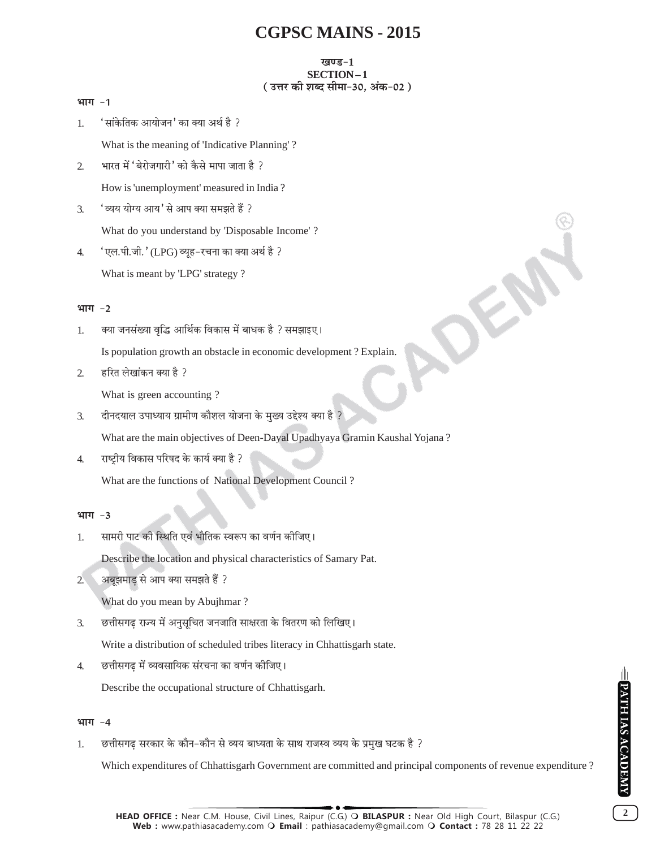# खण्ड-1 SECTION-1 (उत्तर की शब्द सीमा-30, अंक-02)

| 1.               | 'सांकेतिक आयोजन' का क्या अर्थ है ?                                 |
|------------------|--------------------------------------------------------------------|
|                  | What is the meaning of 'Indicative Planning'?                      |
| $\overline{2}$   | भारत में 'बेरोजगारी' को कैसे मापा जाता है ?                        |
|                  | How is 'unemployment' measured in India?                           |
| $\mathfrak{Z}$ . | 'व्यय योग्य आय' से आप क्या समझते हैं ?                             |
|                  | What do you understand by 'Disposable Income'?                     |
| 4.               | 'एल.पी.जी.'(LPG) व्यूह-रचना का क्या अर्थ है ?                      |
|                  | What is meant by 'LPG' strategy?                                   |
|                  |                                                                    |
| भाग -2           |                                                                    |
| 1.               | क्या जनसंख्या वृद्धि आर्थिक विकास में बाधक है ? समझाइए।            |
|                  | Is population growth an obstacle in economic development? Explain. |
| 2.               | हरित लेखांकन क्या है ?                                             |
|                  | What is green accounting?                                          |

दीनदयाल उपाध्याय ग्रामीण कौशल योजना के मुख्य उद्देश्य क्या है ?  $\mathfrak{Z}$ .

What are the main objectives of Deen-Dayal Upadhyaya Gramin Kaushal Yojana?

राष्ट्रीय विकास परिषद के कार्य क्या है ?  $\overline{4}$ .

What are the functions of National Development Council?

# भाग $-3$

भाग -1

सामरी पाट की स्थिति एवं भौतिक स्वरूप का वर्णन कीजिए।  $1.$ 

Describe the location and physical characteristics of Samary Pat.

अबूझमाड से आप क्या समझते हैं ?  $2^{\circ}$ 

What do you mean by Abujhmar?

छत्तीसगढ राज्य में अनुसुचित जनजाति साक्षरता के वितरण को लिखिए। 3.

Write a distribution of scheduled tribes literacy in Chhattisgarh state.

छत्तीसगढ़ में व्यवसायिक संरचना का वर्णन कीजिए।  $4.$ 

Describe the occupational structure of Chhattisgarh.

# भाग -4

छत्तीसगढ सरकार के कौन-कौन से व्यय बाध्यता के साथ राजस्व व्यय के प्रमुख घटक है ? 1.

Which expenditures of Chhattisgarh Government are committed and principal components of revenue expenditure?

OFFE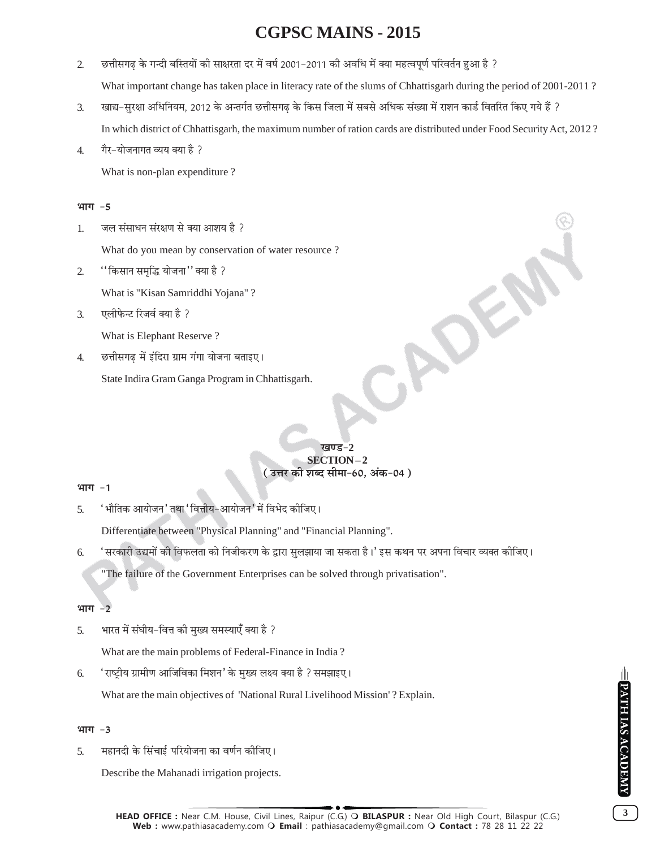- $\overline{2}$ : छत्तीसगढ के गन्दी बस्तियों की साक्षरता दर में वर्ष 2001-2011 की अवधि में क्या महत्वपूर्ण परिवर्तन हुआ है What important change has taken place in literacy rate of the slums of Chhattisgarh during the period of 2001-2011?
- खाद्य-सुरक्षा अधिनियम, 2012 के अन्तर्गत छत्तीसगढ के किस जिला में सबसे अधिक संख्या में राशन कार्ड वितरित किए गये हैं ?  $\mathfrak{Z}$ . In which district of Chhattisgarh, the maximum number of ration cards are distributed under Food Security Act, 2012?
- गैर-योजनागत व्यय क्या है ?  $\overline{4}$ .

What is non-plan expenditure?

## भाग -5

जल संसाधन संरक्षण से क्या आशय है ? 1.

What do you mean by conservation of water resource?

"किसान समृद्धि योजना" क्या है ?  $\overline{2}$ 

What is "Kisan Samriddhi Yojana"?

एलीफेन्ट रिजर्व क्या है ?  $\mathfrak{Z}$ .

What is Elephant Reserve?

छत्तीसगढ में इंदिरा ग्राम गंगा योजना बताइए।  $\overline{4}$ 

State Indira Gram Ganga Program in Chhattisgarh.

## खण्ड-2 SECTION-2 ( उत्तर की शब्द सीमा-60, अंक-04 )

ADE

# भाग -1

' भौतिक आयोजन' तथा ' वित्तीय-आयोजन' में विभेद कीजिए।  $\overline{5}$ .

Differentiate between "Physical Planning" and "Financial Planning".

'सरकारी उद्यमों की विफलता को निजीकरण के द्वारा सुलझाया जा सकता है।' इस कथन पर अपना विचार व्यक्त कीजिए। 6.

"The failure of the Government Enterprises can be solved through privatisation".

#### भाग  $-2$

भारत में संघीय-वित्त की मुख्य समस्याएँ क्या है ? 5.

What are the main problems of Federal-Finance in India?

'राष्ट्रीय ग्रामीण आजिविका मिशन' के मुख्य लक्ष्य क्या है ? समझाइए। 6.

What are the main objectives of 'National Rural Livelihood Mission'? Explain.

# भाग -3

महानदी के सिंचाई परियोजना का वर्णन कीजिए। 5.

Describe the Mahanadi irrigation projects.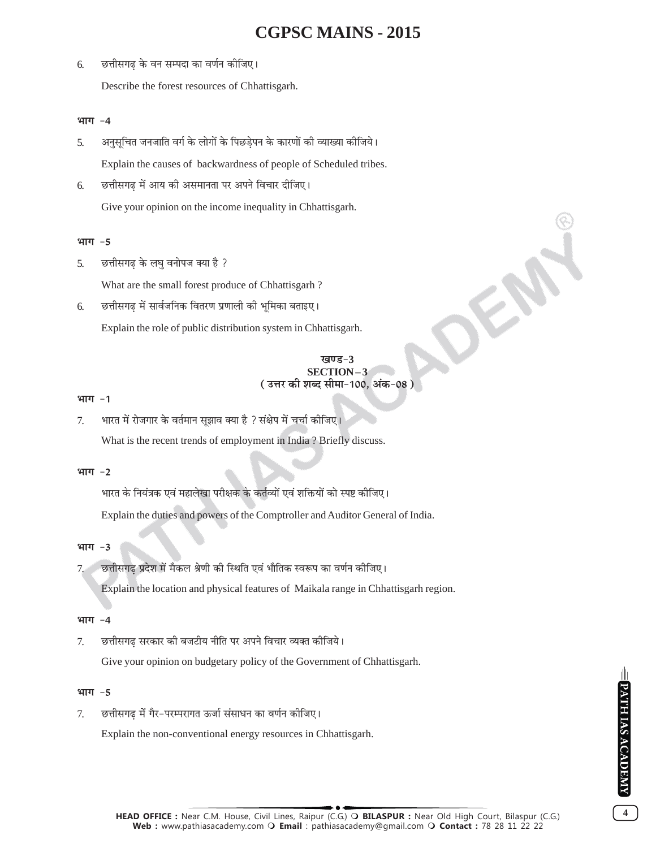## 6. ङितीसगढ के वन सम्पदा का वर्णन कीजिए।

Describe the forest resources of Chhattisgarh.

### भाग -4

5. अनुसूचित जनजाति वर्ग के लोगों के पिछडेपन के कारणों की व्याख्या कीजिये।

Explain the causes of backwardness of people of Scheduled tribes.

6. छत्तीसगढ में आय की असमानता पर अपने विचार दीजिए।

Give your opinion on the income inequality in Chhattisgarh.

## भाग -5

5. छत्तीसगढ के लघ वनोपज क्या है ?

What are the small forest produce of Chhattisgarh ?

6. ङित्तीसगढ में सार्वजनिक वितरण प्रणाली की भूमिका बताइए।

Explain the role of public distribution system in Chhattisgarh.

# खण्ड-3 **SECTION – 3** ( उत्तर की शब्द सीमा-100, अंक-08 )

OFF

#### भाग -1

7. भारत में रोजगार के वर्तमान सूझाव क्या है ? संक्षेप में चर्चा कीजिए। What is the recent trends of employment in India ? Briefly discuss.

# भाग -2

भारत के नियंत्रक एवं महालेखा परीक्षक के कर्तव्यों एवं शक्तियों को स्पष्ट कीजिए।

Explain the duties and powers of the Comptroller and Auditor General of India.

# भाग -3

7. ∑ छत्तीसगढ प्रदेश में मैकल श्रेणी की स्थिति एवं भौतिक स्वरूप का वर्णन कीजिए।

Explain the location and physical features of Maikala range in Chhattisgarh region.

# भाग -4

7. छत्तीसगढ सरकार की बजटीय नीति पर अपने विचार व्यक्त कीजिये।

Give your opinion on budgetary policy of the Government of Chhattisgarh.

# भाग -5

7. ∑छत्तीसगढ में गैर-परम्परागत ऊर्जा संसाधन का वर्णन कीजिए।

Explain the non-conventional energy resources in Chhattisgarh.

**4**